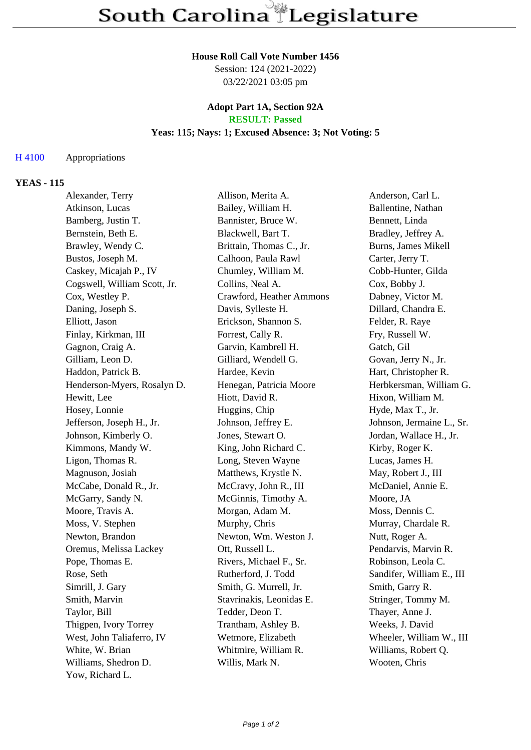### **House Roll Call Vote Number 1456**

Session: 124 (2021-2022) 03/22/2021 03:05 pm

#### **Adopt Part 1A, Section 92A RESULT: Passed**

# **Yeas: 115; Nays: 1; Excused Absence: 3; Not Voting: 5**

# H 4100 Appropriations

### **YEAS - 115**

| Alexander, Terry             | Allison, Merita A.       | Anderson, Carl L.         |
|------------------------------|--------------------------|---------------------------|
| Atkinson, Lucas              | Bailey, William H.       | Ballentine, Nathan        |
| Bamberg, Justin T.           | Bannister, Bruce W.      | Bennett, Linda            |
| Bernstein, Beth E.           | Blackwell, Bart T.       | Bradley, Jeffrey A.       |
| Brawley, Wendy C.            | Brittain, Thomas C., Jr. | Burns, James Mikell       |
| Bustos, Joseph M.            | Calhoon, Paula Rawl      | Carter, Jerry T.          |
| Caskey, Micajah P., IV       | Chumley, William M.      | Cobb-Hunter, Gilda        |
| Cogswell, William Scott, Jr. | Collins, Neal A.         | Cox, Bobby J.             |
| Cox, Westley P.              | Crawford, Heather Ammons | Dabney, Victor M.         |
| Daning, Joseph S.            | Davis, Sylleste H.       | Dillard, Chandra E.       |
| Elliott, Jason               | Erickson, Shannon S.     | Felder, R. Raye           |
| Finlay, Kirkman, III         | Forrest, Cally R.        | Fry, Russell W.           |
| Gagnon, Craig A.             | Garvin, Kambrell H.      | Gatch, Gil                |
| Gilliam, Leon D.             | Gilliard, Wendell G.     | Govan, Jerry N., Jr.      |
| Haddon, Patrick B.           | Hardee, Kevin            | Hart, Christopher R.      |
| Henderson-Myers, Rosalyn D.  | Henegan, Patricia Moore  | Herbkersman, William G.   |
| Hewitt, Lee                  | Hiott, David R.          | Hixon, William M.         |
| Hosey, Lonnie                | Huggins, Chip            | Hyde, Max T., Jr.         |
| Jefferson, Joseph H., Jr.    | Johnson, Jeffrey E.      | Johnson, Jermaine L., Sr. |
| Johnson, Kimberly O.         | Jones, Stewart O.        | Jordan, Wallace H., Jr.   |
| Kimmons, Mandy W.            | King, John Richard C.    | Kirby, Roger K.           |
| Ligon, Thomas R.             | Long, Steven Wayne       | Lucas, James H.           |
| Magnuson, Josiah             | Matthews, Krystle N.     | May, Robert J., III       |
| McCabe, Donald R., Jr.       | McCravy, John R., III    | McDaniel, Annie E.        |
| McGarry, Sandy N.            | McGinnis, Timothy A.     | Moore, JA                 |
| Moore, Travis A.             | Morgan, Adam M.          | Moss, Dennis C.           |
| Moss, V. Stephen             | Murphy, Chris            | Murray, Chardale R.       |
| Newton, Brandon              | Newton, Wm. Weston J.    | Nutt, Roger A.            |
| Oremus, Melissa Lackey       | Ott, Russell L.          | Pendarvis, Marvin R.      |
| Pope, Thomas E.              | Rivers, Michael F., Sr.  | Robinson, Leola C.        |
| Rose, Seth                   | Rutherford, J. Todd      | Sandifer, William E., III |
| Simrill, J. Gary             | Smith, G. Murrell, Jr.   | Smith, Garry R.           |
| Smith, Marvin                | Stavrinakis, Leonidas E. | Stringer, Tommy M.        |
| Taylor, Bill                 | Tedder, Deon T.          | Thayer, Anne J.           |
| Thigpen, Ivory Torrey        | Trantham, Ashley B.      | Weeks, J. David           |
| West, John Taliaferro, IV    | Wetmore, Elizabeth       | Wheeler, William W., III  |
| White, W. Brian              | Whitmire, William R.     | Williams, Robert Q.       |
| Williams, Shedron D.         | Willis, Mark N.          | Wooten, Chris             |
| Yow, Richard L.              |                          |                           |